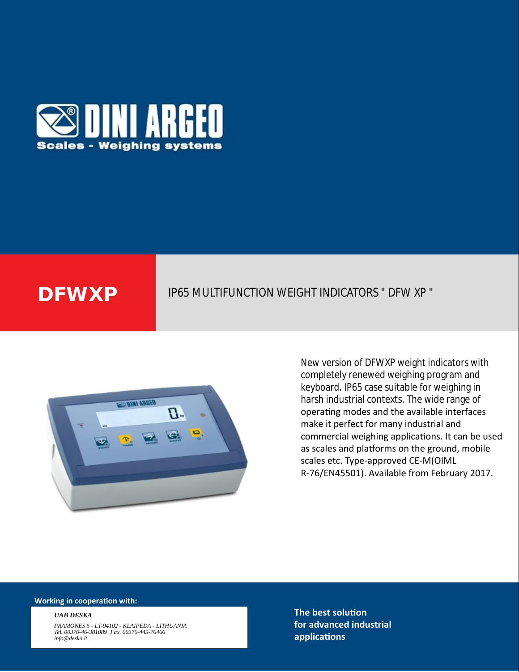

# **DFWXP** IP65 MULTIFUNCTION WEIGHT INDICATORS " DFW XP "



New version of DFWXP weight indicators with completely renewed weighing program and keyboard. IP65 case suitable for weighing in harsh industrial contexts. The wide range of operating modes and the available interfaces make it perfect for many industrial and commercial weighing applications. It can be used as scales and platforms on the ground, mobile scales etc. Type-approved CE-M(OIML R-76/EN45501). Available from February 2017.

#### **Working in cooperation with:**

#### *UAB DESKA*

*PRAMONES 5 - LT-94102 - KLAIPEDA - LITHUANIA Tel. 00370-46-381089 Fax. 00370-445-76466 info@deska.lt*

**The best solution for advanced industrial applicaƟons**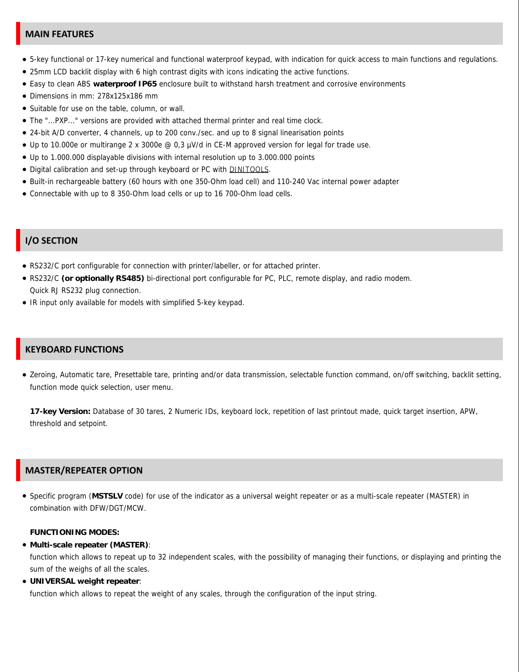#### **MAIN FEATURES**

- 5-key functional or 17-key numerical and functional waterproof keypad, with indication for quick access to main functions and regulations.
- 25mm LCD backlit display with 6 high contrast digits with icons indicating the active functions.
- Easy to clean ABS **waterproof IP65** enclosure built to withstand harsh treatment and corrosive environments
- Dimensions in mm: 278x125x186 mm
- Suitable for use on the table, column, or wall.
- The "...PXP..." versions are provided with attached thermal printer and real time clock.
- 24-bit A/D converter, 4 channels, up to 200 conv./sec. and up to 8 signal linearisation points
- Up to 10.000e or multirange 2 x 3000e @ 0,3 µV/d in CE-M approved version for legal for trade use.
- Up to 1.000.000 displayable divisions with internal resolution up to 3.000.000 points
- Digital calibration and set-up through keyboard or PC with **DINITOOLS**
- Built-in rechargeable battery (60 hours with one 350-Ohm load cell) and 110-240 Vac internal power adapter
- Connectable with up to 8 350-Ohm load cells or up to 16 700-Ohm load cells.

#### **I/O SECTION**

- RS232/C port configurable for connection with printer/labeller, or for attached printer.
- RS232/C **(or optionally RS485)** bi-directional port configurable for PC, PLC, remote display, and radio modem. Quick RJ RS232 plug connection.
- IR input only available for models with simplified 5-key keypad.

### **KEYBOARD FUNCTIONS**

Zeroing, Automatic tare, Presettable tare, printing and/or data transmission, selectable function command, on/off switching, backlit setting, function mode quick selection, user menu.

**17-key Version:** Database of 30 tares, 2 Numeric IDs, keyboard lock, repetition of last printout made, quick target insertion, APW, threshold and setpoint.

#### **MASTER/REPEATER OPTION**

Specific program (**MSTSLV** code) for use of the indicator as a universal weight repeater or as a multi-scale repeater (MASTER) in combination with DFW/DGT/MCW.

**FUNCTIONING MODES:**

**Multi-scale repeater (MASTER)**:

function which allows to repeat up to 32 independent scales, with the possibility of managing their functions, or displaying and printing the sum of the weighs of all the scales.

**UNIVERSAL weight repeater**:

function which allows to repeat the weight of any scales, through the configuration of the input string.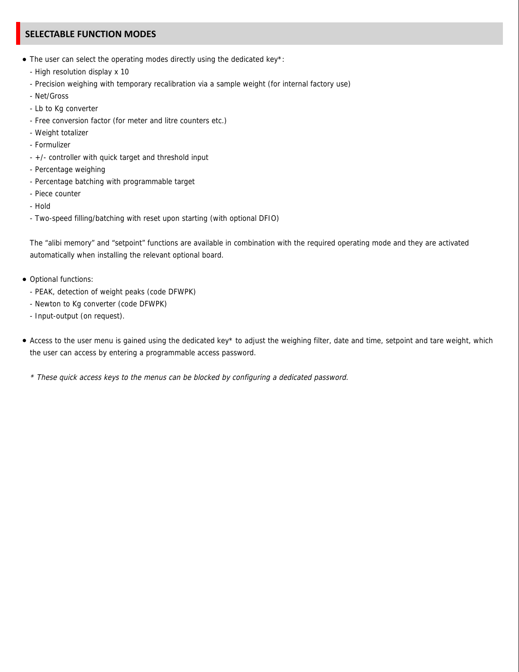## **SELECTABLE FUNCTION MODES**

- The user can select the operating modes directly using the dedicated key\*:
	- High resolution display x 10
	- Precision weighing with temporary recalibration via a sample weight (for internal factory use)
	- Net/Gross
	- Lb to Kg converter
	- Free conversion factor (for meter and litre counters etc.)
	- Weight totalizer
	- Formulizer
	- +/- controller with quick target and threshold input
	- Percentage weighing
	- Percentage batching with programmable target
	- Piece counter
	- Hold
	- Two-speed filling/batching with reset upon starting (with optional DFIO)

The "alibi memory" and "setpoint" functions are available in combination with the required operating mode and they are activated automatically when installing the relevant optional board.

- Optional functions:
	- PEAK, detection of weight peaks (code DFWPK)
	- Newton to Kg converter (code DFWPK)
	- Input-output (on request).
- Access to the user menu is gained using the dedicated key\* to adjust the weighing filter, date and time, setpoint and tare weight, which the user can access by entering a programmable access password.
	- \* These quick access keys to the menus can be blocked by configuring a dedicated password.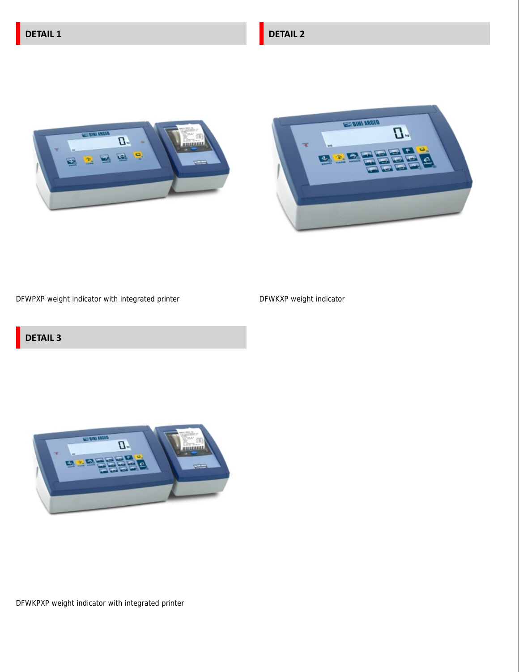DFWKPXP weight indicator with integrated printer



# **DETAIL 3**

DFWPXP weight indicator with integrated printer

DFWKXP weight indicator